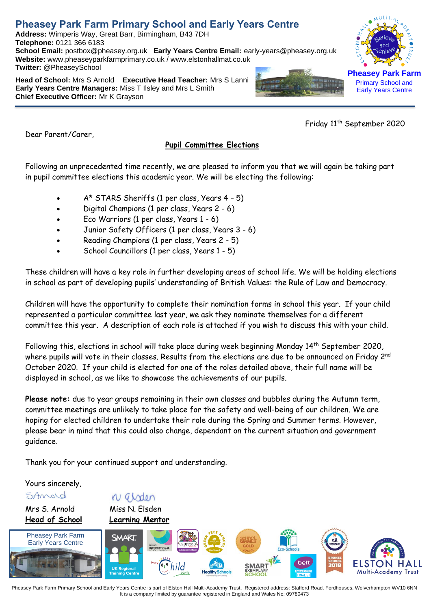# **Pheasey Park Farm Primary School and Early Years Centre**

**Address:** Wimperis Way, Great Barr, Birmingham, B43 7DH **Telephone:** 0121 366 6183 **School Email:** postbox@pheasey.org.uk **Early Years Centre Email:** [early-years@pheasey.](mailto:early-years@pheasey)org.uk **Website:** [www.pheaseyparkfarmprimary.co.uk](http://www.pheaseyparkfarmprimary.co.uk/) / www.elstonhallmat.co.uk **Twitter:** @PheaseySchool

**Head of School:** Mrs S Arnold **Executive Head Teacher:** Mrs S Lanni **Early Years Centre Managers:** Miss T Ilsley and Mrs L Smith **Chief Executive Officer:** Mr K Grayson

Friday 11<sup>th</sup> September 2020

Dear Parent/Carer,

## **Pupil Committee Elections**

Following an unprecedented time recently, we are pleased to inform you that we will again be taking part in pupil committee elections this academic year. We will be electing the following:

- A\* STARS Sheriffs (1 per class, Years 4 5)
- Digital Champions (1 per class, Years 2 6)
- Eco Warriors (1 per class, Years 1 6)
- Junior Safety Officers (1 per class, Years 3 6)
- Reading Champions (1 per class, Years 2 5)
- School Councillors (1 per class, Years 1 5)

These children will have a key role in further developing areas of school life. We will be holding elections in school as part of developing pupils' understanding of British Values: the Rule of Law and Democracy.

Children will have the opportunity to complete their nomination forms in school this year. If your child represented a particular committee last year, we ask they nominate themselves for a different committee this year. A description of each role is attached if you wish to discuss this with your child.

Following this, elections in school will take place during week beginning Monday 14<sup>th</sup> September 2020, where pupils will vote in their classes. Results from the elections are due to be announced on Friday 2<sup>nd</sup> October 2020. If your child is elected for one of the roles detailed above, their full name will be displayed in school, as we like to showcase the achievements of our pupils.

**Please note:** due to year groups remaining in their own classes and bubbles during the Autumn term, committee meetings are unlikely to take place for the safety and well-being of our children. We are hoping for elected children to undertake their role during the Spring and Summer terms. However, please bear in mind that this could also change, dependant on the current situation and government guidance.

Thank you for your continued support and understanding.

Yours sincerely,

SiAmord

Mrs S. Arnold Miss N. Elsden **Head of School Learning Mentor**

N girden



Pheasey Park Farm Primary School and Early Years Centre is part of Elston Hall Multi-Academy Trust. Registered address: Stafford Road, Fordhouses, Wolverhampton WV10 6NN It is a company limited by guarantee registered in England and Wales No: 09780473



Primary School and Early Years Centre